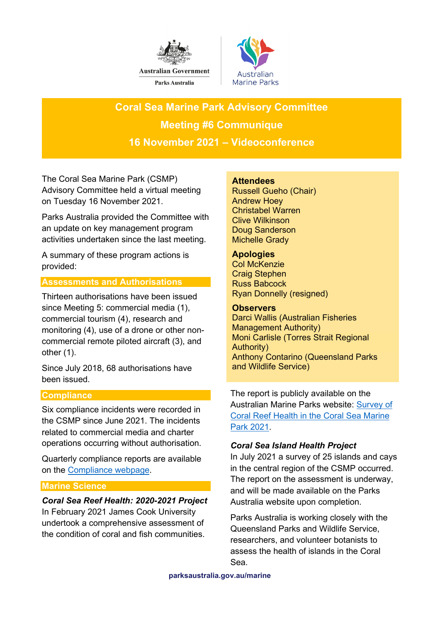



**Coral Sea Marine Park Advisory Committee Meeting #6 Communique 16 November 2021 – Videoconference**

The Coral Sea Marine Park (CSMP) Advisory Committee held a virtual meeting on Tuesday 16 November 2021.

Parks Australia provided the Committee with an update on key management program activities undertaken since the last meeting.

A summary of these program actions is provided:

## **Assessments and Authorisations**

Thirteen authorisations have been issued since Meeting 5: commercial media (1), commercial tourism (4), research and monitoring (4), use of a drone or other noncommercial remote piloted aircraft (3), and other (1).

Since July 2018, 68 authorisations have been issued.

# **Compliance**

Six compliance incidents were recorded in the CSMP since June 2021. The incidents related to commercial media and charter operations occurring without authorisation.

Quarterly compliance reports are available on the [Compliance webpage.](https://parksaustralia.gov.au/marine/management/programs/compliance/)

## **Marine Science**

### *Coral Sea Reef Health: 2020-2021 Project*

In February 2021 James Cook University undertook a comprehensive assessment of the condition of coral and fish communities.

### **Attendees**

Russell Gueho (Chair) Andrew Hoey Christabel Warren Clive Wilkinson Doug Sanderson Michelle Grady

## **Apologies**

Col McKenzie Craig Stephen Russ Babcock Ryan Donnelly (resigned)

### **Observers**

Darci Wallis (Australian Fisheries Management Authority) Moni Carlisle (Torres Strait Regional Authority) Anthony Contarino (Queensland Parks and Wildlife Service)

The report is publicly available on the Australian Marine Parks website: [Survey of](https://parksaustralia.gov.au/marine/management/resources/scientific-publications/coral-sea-marine-park-coral-reef-health-survey-2021/)  [Coral Reef Health in the Coral Sea Marine](https://parksaustralia.gov.au/marine/management/resources/scientific-publications/coral-sea-marine-park-coral-reef-health-survey-2021/)  [Park 2021.](https://parksaustralia.gov.au/marine/management/resources/scientific-publications/coral-sea-marine-park-coral-reef-health-survey-2021/)

# *Coral Sea Island Health Project*

In July 2021 a survey of 25 islands and cays in the central region of the CSMP occurred. The report on the assessment is underway, and will be made available on the Parks Australia website upon completion.

Parks Australia is working closely with the Queensland Parks and Wildlife Service, researchers, and volunteer botanists to assess the health of islands in the Coral Sea.